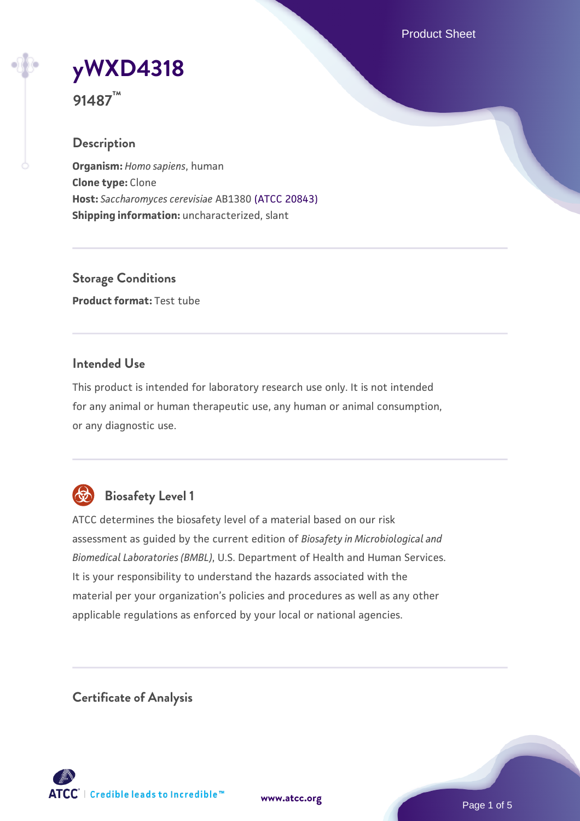Product Sheet



**91487™**

## **Description**

**Organism:** *Homo sapiens*, human **Clone type:** Clone **Host:** *Saccharomyces cerevisiae* AB1380 [\(ATCC 20843\)](https://www.atcc.org/products/20843) **Shipping information:** uncharacterized, slant

**Storage Conditions Product format:** Test tube

## **Intended Use**

This product is intended for laboratory research use only. It is not intended for any animal or human therapeutic use, any human or animal consumption, or any diagnostic use.



# **Biosafety Level 1**

ATCC determines the biosafety level of a material based on our risk assessment as guided by the current edition of *Biosafety in Microbiological and Biomedical Laboratories (BMBL)*, U.S. Department of Health and Human Services. It is your responsibility to understand the hazards associated with the material per your organization's policies and procedures as well as any other applicable regulations as enforced by your local or national agencies.

**Certificate of Analysis**

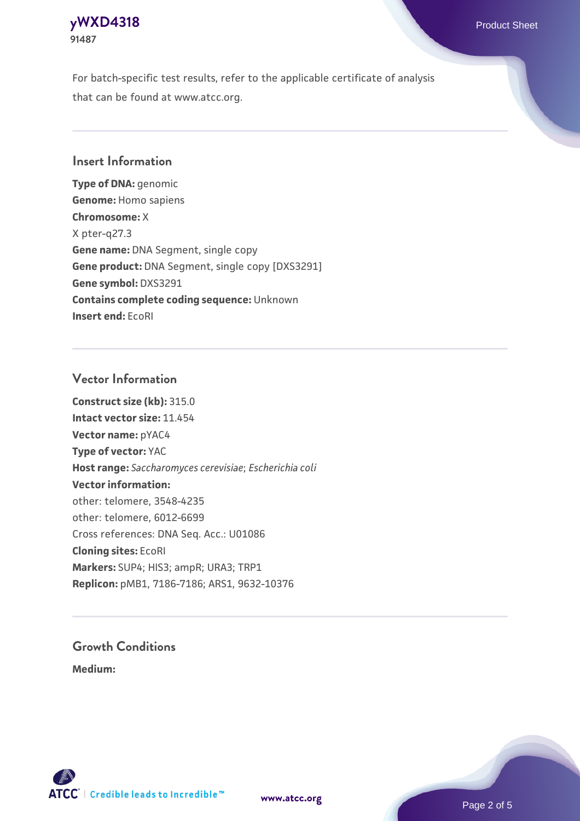## **[yWXD4318](https://www.atcc.org/products/91487)** Product Sheet **91487**

For batch-specific test results, refer to the applicable certificate of analysis that can be found at www.atcc.org.

## **Insert Information**

**Type of DNA:** genomic **Genome:** Homo sapiens **Chromosome:** X X pter-q27.3 **Gene name:** DNA Segment, single copy **Gene product:** DNA Segment, single copy [DXS3291] **Gene symbol:** DXS3291 **Contains complete coding sequence:** Unknown **Insert end:** EcoRI

## **Vector Information**

**Construct size (kb):** 315.0 **Intact vector size:** 11.454 **Vector name:** pYAC4 **Type of vector:** YAC **Host range:** *Saccharomyces cerevisiae*; *Escherichia coli* **Vector information:** other: telomere, 3548-4235 other: telomere, 6012-6699 Cross references: DNA Seq. Acc.: U01086 **Cloning sites:** EcoRI **Markers:** SUP4; HIS3; ampR; URA3; TRP1 **Replicon:** pMB1, 7186-7186; ARS1, 9632-10376

# **Growth Conditions**

**Medium:** 



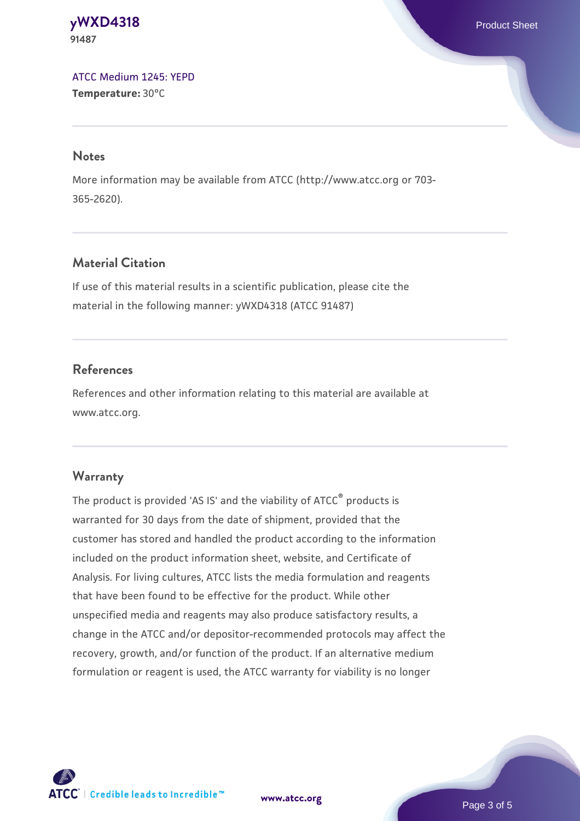#### **[yWXD4318](https://www.atcc.org/products/91487)** Product Sheet **91487**

[ATCC Medium 1245: YEPD](https://www.atcc.org/-/media/product-assets/documents/microbial-media-formulations/1/2/4/5/atcc-medium-1245.pdf?rev=705ca55d1b6f490a808a965d5c072196) **Temperature:** 30°C

#### **Notes**

More information may be available from ATCC (http://www.atcc.org or 703- 365-2620).

# **Material Citation**

If use of this material results in a scientific publication, please cite the material in the following manner: yWXD4318 (ATCC 91487)

# **References**

References and other information relating to this material are available at www.atcc.org.

# **Warranty**

The product is provided 'AS IS' and the viability of ATCC® products is warranted for 30 days from the date of shipment, provided that the customer has stored and handled the product according to the information included on the product information sheet, website, and Certificate of Analysis. For living cultures, ATCC lists the media formulation and reagents that have been found to be effective for the product. While other unspecified media and reagents may also produce satisfactory results, a change in the ATCC and/or depositor-recommended protocols may affect the recovery, growth, and/or function of the product. If an alternative medium formulation or reagent is used, the ATCC warranty for viability is no longer



**[www.atcc.org](http://www.atcc.org)**

Page 3 of 5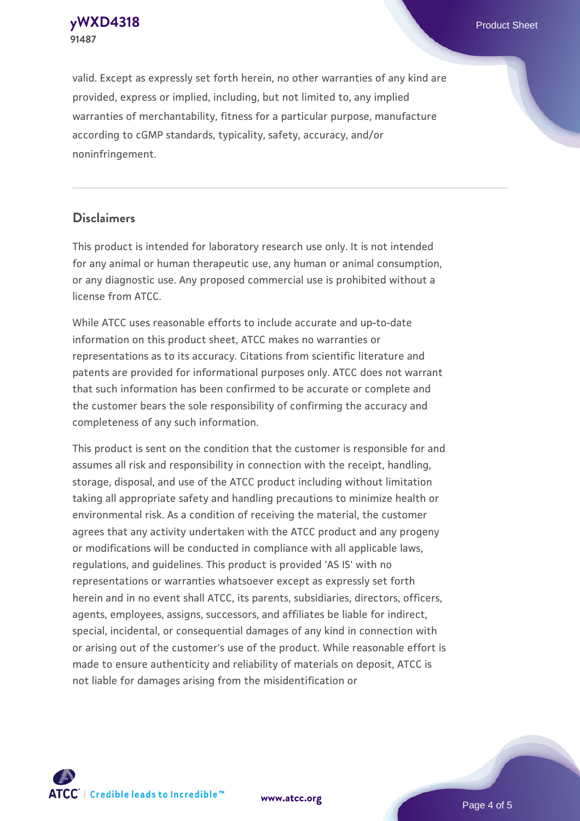**[yWXD4318](https://www.atcc.org/products/91487)** Product Sheet **91487**

valid. Except as expressly set forth herein, no other warranties of any kind are provided, express or implied, including, but not limited to, any implied warranties of merchantability, fitness for a particular purpose, manufacture according to cGMP standards, typicality, safety, accuracy, and/or noninfringement.

#### **Disclaimers**

This product is intended for laboratory research use only. It is not intended for any animal or human therapeutic use, any human or animal consumption, or any diagnostic use. Any proposed commercial use is prohibited without a license from ATCC.

While ATCC uses reasonable efforts to include accurate and up-to-date information on this product sheet, ATCC makes no warranties or representations as to its accuracy. Citations from scientific literature and patents are provided for informational purposes only. ATCC does not warrant that such information has been confirmed to be accurate or complete and the customer bears the sole responsibility of confirming the accuracy and completeness of any such information.

This product is sent on the condition that the customer is responsible for and assumes all risk and responsibility in connection with the receipt, handling, storage, disposal, and use of the ATCC product including without limitation taking all appropriate safety and handling precautions to minimize health or environmental risk. As a condition of receiving the material, the customer agrees that any activity undertaken with the ATCC product and any progeny or modifications will be conducted in compliance with all applicable laws, regulations, and guidelines. This product is provided 'AS IS' with no representations or warranties whatsoever except as expressly set forth herein and in no event shall ATCC, its parents, subsidiaries, directors, officers, agents, employees, assigns, successors, and affiliates be liable for indirect, special, incidental, or consequential damages of any kind in connection with or arising out of the customer's use of the product. While reasonable effort is made to ensure authenticity and reliability of materials on deposit, ATCC is not liable for damages arising from the misidentification or



**[www.atcc.org](http://www.atcc.org)**

Page 4 of 5